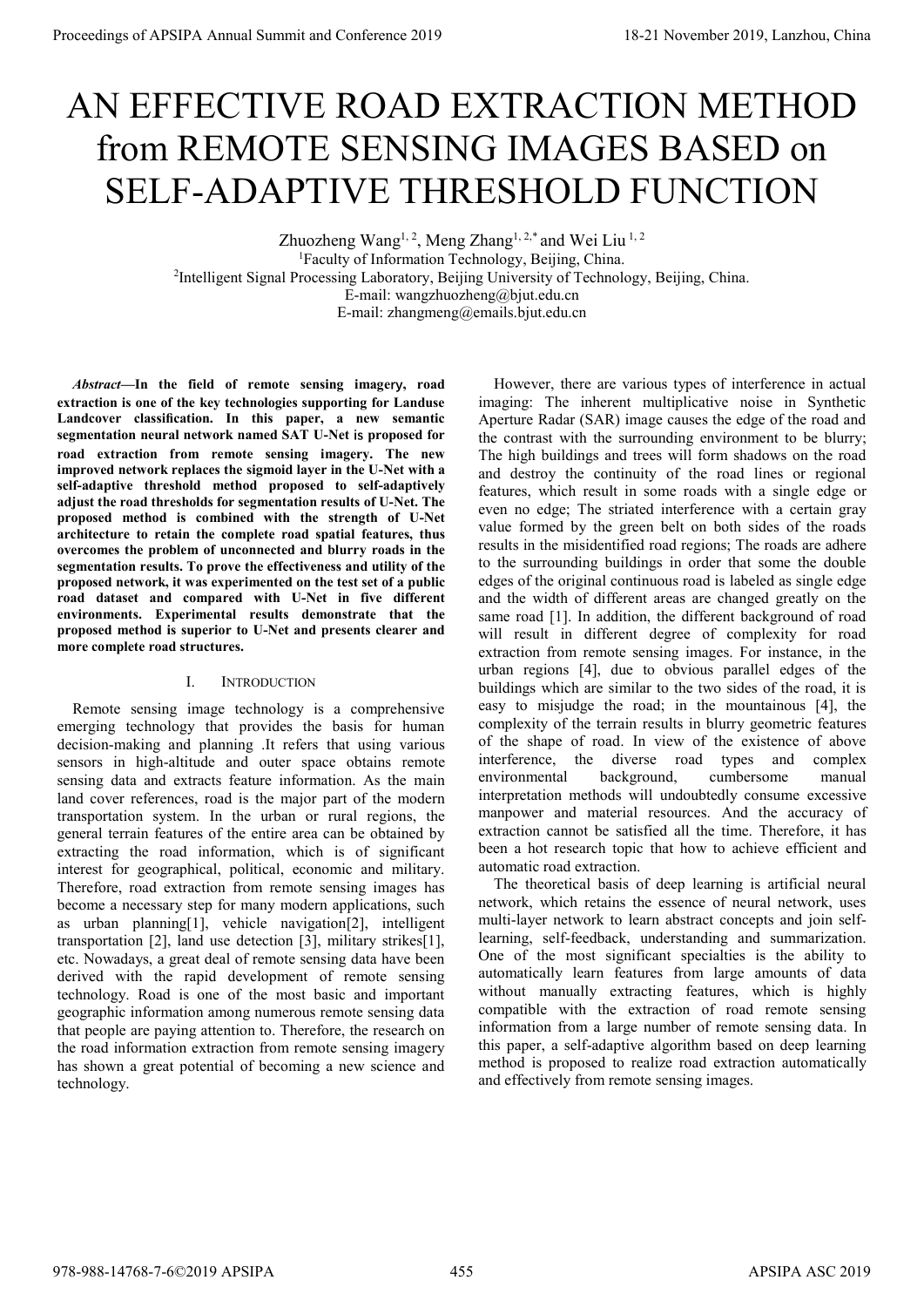# AN EFFECTIVE ROAD EXTRACTION METHOD from REMOTE SENSING IMAGES BASED on SELF-ADAPTIVE THRESHOLD FUNCTION

Zhuozheng Wang<sup>1, 2</sup>, Meng Zhang<sup>1, 2,\*</sup> and Wei Liu<sup>1, 2</sup>

<sup>1</sup>Faculty of Information Technology, Beijing, China.

<sup>2</sup>Intelligent Signal Processing Laboratory, Beijing University of Technology, Beijing, China.

E-mail: wangzhuozheng@bjut.edu.cn

E-mail: zhangmeng@emails.bjut.edu.cn

*Abstract***—In the field of remote sensing imagery, road extraction is one of the key technologies supporting for Landuse Landcover classification. In this paper, a new semantic segmentation neural network named SAT U-Net is proposed for road extraction from remote sensing imagery. The new improved network replaces the sigmoid layer in the U-Net with a self-adaptive threshold method proposed to self-adaptively adjust the road thresholds for segmentation results of U-Net. The proposed method is combined with the strength of U-Net architecture to retain the complete road spatial features, thus overcomes the problem of unconnected and blurry roads in the segmentation results. To prove the effectiveness and utility of the proposed network, it was experimented on the test set of a public road dataset and compared with U-Net in five different environments. Experimental results demonstrate that the proposed method is superior to U-Net and presents clearer and more complete road structures.**

# I. INTRODUCTION

Remote sensing image technology is a comprehensive emerging technology that provides the basis for human decision-making and planning .It refers that using various sensors in high-altitude and outer space obtains remote sensing data and extracts feature information. As the main land cover references, road is the major part of the modern transportation system. In the urban or rural regions, the general terrain features of the entire area can be obtained by extracting the road information, which is of significant interest for geographical, political, economic and military. Therefore, road extraction from remote sensing images has become a necessary step for many modern applications, such as urban planning[1], vehicle navigation[2], intelligent transportation [2], land use detection [3], military strikes[1], etc. Nowadays, a great deal of remote sensing data have been derived with the rapid development of remote sensing technology. Road is one of the most basic and important geographic information among numerous remote sensing data that people are paying attention to. Therefore, the research on the road information extraction from remote sensing imagery has shown a great potential of becoming a new science and technology.

However, there are various types of interference in actual imaging: The inherent multiplicative noise in Synthetic Aperture Radar (SAR) image causes the edge of the road and the contrast with the surrounding environment to be blurry; The high buildings and trees will form shadows on the road and destroy the continuity of the road lines or regional features, which result in some roads with a single edge or even no edge; The striated interference with a certain gray value formed by the green belt on both sides of the roads results in the misidentified road regions; The roads are adhere to the surrounding buildings in order that some the double edges of the original continuous road is labeled as single edge and the width of different areas are changed greatly on the same road [1]. In addition, the different background of road will result in different degree of complexity for road extraction from remote sensing images. For instance, in the urban regions [4], due to obvious parallel edges of the buildings which are similar to the two sides of the road, it is easy to misjudge the road; in the mountainous [4], the complexity of the terrain results in blurry geometric features of the shape of road. In view of the existence of above interference, the diverse road types and complex environmental background, cumbersome manual interpretation methods will undoubtedly consume excessive manpower and material resources. And the accuracy of extraction cannot be satisfied all the time. Therefore, it has been a hot research topic that how to achieve efficient and automatic road extraction. Proceedings of APSIPA Annual Summit of CoNFERENT CORPORATION TION CENTER ANNUAL CORPORATION CONFERENCE CONFERENCE CONFERENCE CONFERENCE CONFERENCE CONFERENCE CONFERENCE CONFERENCE CONFERENCE CONFERENCE CONFERENCE CONFEREN

The theoretical basis of deep learning is artificial neural network, which retains the essence of neural network, uses multi-layer network to learn abstract concepts and join selflearning, self-feedback, understanding and summarization. One of the most significant specialties is the ability to automatically learn features from large amounts of data without manually extracting features, which is highly compatible with the extraction of road remote sensing information from a large number of remote sensing data. In this paper, a self-adaptive algorithm based on deep learning method is proposed to realize road extraction automatically and effectively from remote sensing images.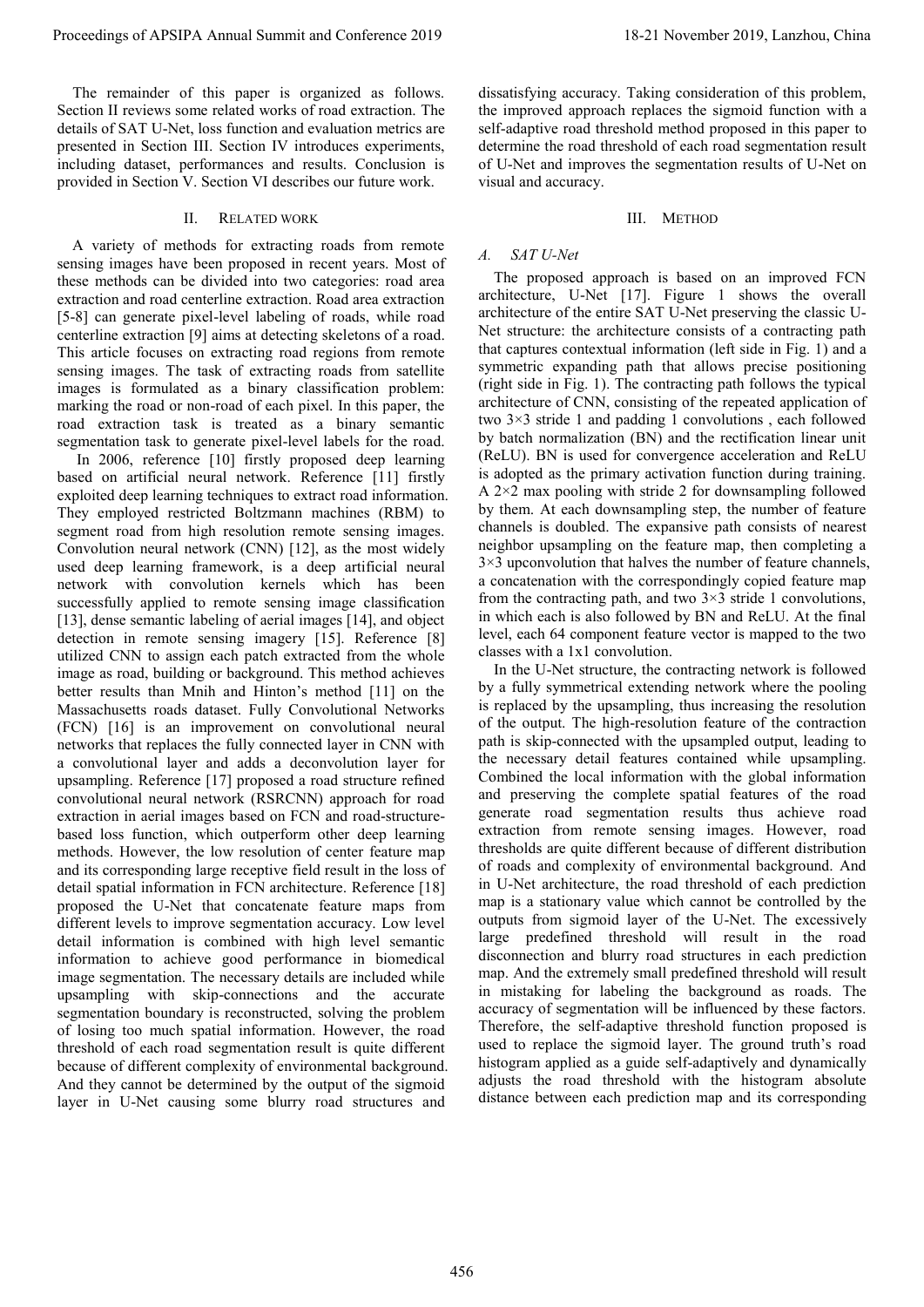The remainder of this paper is organized as follows. Section II reviews some related works of road extraction. The details of SAT U-Net, loss function and evaluation metrics are presented in Section III. Section IV introduces experiments, including dataset, performances and results. Conclusion is provided in Section V. Section VI describes our future work.

## II. RELATED WORK

A variety of methods for extracting roads from remote sensing images have been proposed in recent years. Most of these methods can be divided into two categories: road area extraction and road centerline extraction. Road area extraction [5-8] can generate pixel-level labeling of roads, while road centerline extraction [9] aims at detecting skeletons of a road. This article focuses on extracting road regions from remote sensing images. The task of extracting roads from satellite images is formulated as a binary classification problem: marking the road or non-road of each pixel. In this paper, the road extraction task is treated as a binary semantic segmentation task to generate pixel-level labels for the road.

In 2006, reference [10] firstly proposed deep learning based on artificial neural network. Reference [11] firstly exploited deep learning techniques to extract road information. They employed restricted Boltzmann machines (RBM) to segment road from high resolution remote sensing images. Convolution neural network (CNN) [12], as the most widely used deep learning framework, is a deep artificial neural network with convolution kernels which has been successfully applied to remote sensing image classification [13], dense semantic labeling of aerial images [14], and object detection in remote sensing imagery [15]. Reference [8] utilized CNN to assign each patch extracted from the whole image as road, building or background. This method achieves better results than Mnih and Hinton's method [11] on the Massachusetts roads dataset. Fully Convolutional Networks (FCN) [16] is an improvement on convolutional neural networks that replaces the fully connected layer in CNN with a convolutional layer and adds a deconvolution layer for upsampling. Reference [17] proposed a road structure refined convolutional neural network (RSRCNN) approach for road extraction in aerial images based on FCN and road-structurebased loss function, which outperform other deep learning methods. However, the low resolution of center feature map and its corresponding large receptive field result in the loss of detail spatial information in FCN architecture. Reference [18] proposed the U-Net that concatenate feature maps from different levels to improve segmentation accuracy. Low level detail information is combined with high level semantic information to achieve good performance in biomedical image segmentation. The necessary details are included while upsampling with skip-connections and the accurate segmentation boundary is reconstructed, solving the problem of losing too much spatial information. However, the road threshold of each road segmentation result is quite different because of different complexity of environmental background. And they cannot be determined by the output of the sigmoid layer in U-Net causing some blurry road structures and Proceedings of APSIPA Annual Summit at Conference 2019<br>
The American of APSIPA Annual Summit and Conference 2019 18-21 November 2019 2019 18-21 November 2019 18-21 November 2019 18-21 November 2019 2019 18-21 November 201

dissatisfying accuracy. Taking consideration of this problem, the improved approach replaces the sigmoid function with a self-adaptive road threshold method proposed in this paper to determine the road threshold of each road segmentation result of U-Net and improves the segmentation results of U-Net on visual and accuracy.

# III. METHOD

# *A. SAT U-Net*

The proposed approach is based on an improved FCN architecture, U-Net [17]. Figure 1 shows the overall architecture of the entire SAT U-Net preserving the classic U-Net structure: the architecture consists of a contracting path that captures contextual information (left side in Fig. 1) and a symmetric expanding path that allows precise positioning (right side in Fig. 1). The contracting path follows the typical architecture of CNN, consisting of the repeated application of two 3×3 stride 1 and padding 1 convolutions , each followed by batch normalization (BN) and the rectification linear unit (ReLU). BN is used for convergence acceleration and ReLU is adopted as the primary activation function during training. A 2×2 max pooling with stride 2 for downsampling followed by them. At each downsampling step, the number of feature channels is doubled. The expansive path consists of nearest neighbor upsampling on the feature map, then completing a 3×3 upconvolution that halves the number of feature channels, a concatenation with the correspondingly copied feature map from the contracting path, and two  $3\times3$  stride 1 convolutions, in which each is also followed by BN and ReLU. At the final level, each 64 component feature vector is mapped to the two classes with a 1x1 convolution.

In the U-Net structure, the contracting network is followed by a fully symmetrical extending network where the pooling is replaced by the upsampling, thus increasing the resolution of the output. The high-resolution feature of the contraction path is skip-connected with the upsampled output, leading to the necessary detail features contained while upsampling. Combined the local information with the global information and preserving the complete spatial features of the road generate road segmentation results thus achieve road extraction from remote sensing images. However, road thresholds are quite different because of different distribution of roads and complexity of environmental background. And in U-Net architecture, the road threshold of each prediction map is a stationary value which cannot be controlled by the outputs from sigmoid layer of the U-Net. The excessively large predefined threshold will result in the road disconnection and blurry road structures in each prediction map. And the extremely small predefined threshold will result in mistaking for labeling the background as roads. The accuracy of segmentation will be influenced by these factors. Therefore, the self-adaptive threshold function proposed is used to replace the sigmoid layer. The ground truth's road histogram applied as a guide self-adaptively and dynamically adjusts the road threshold with the histogram absolute distance between each prediction map and its corresponding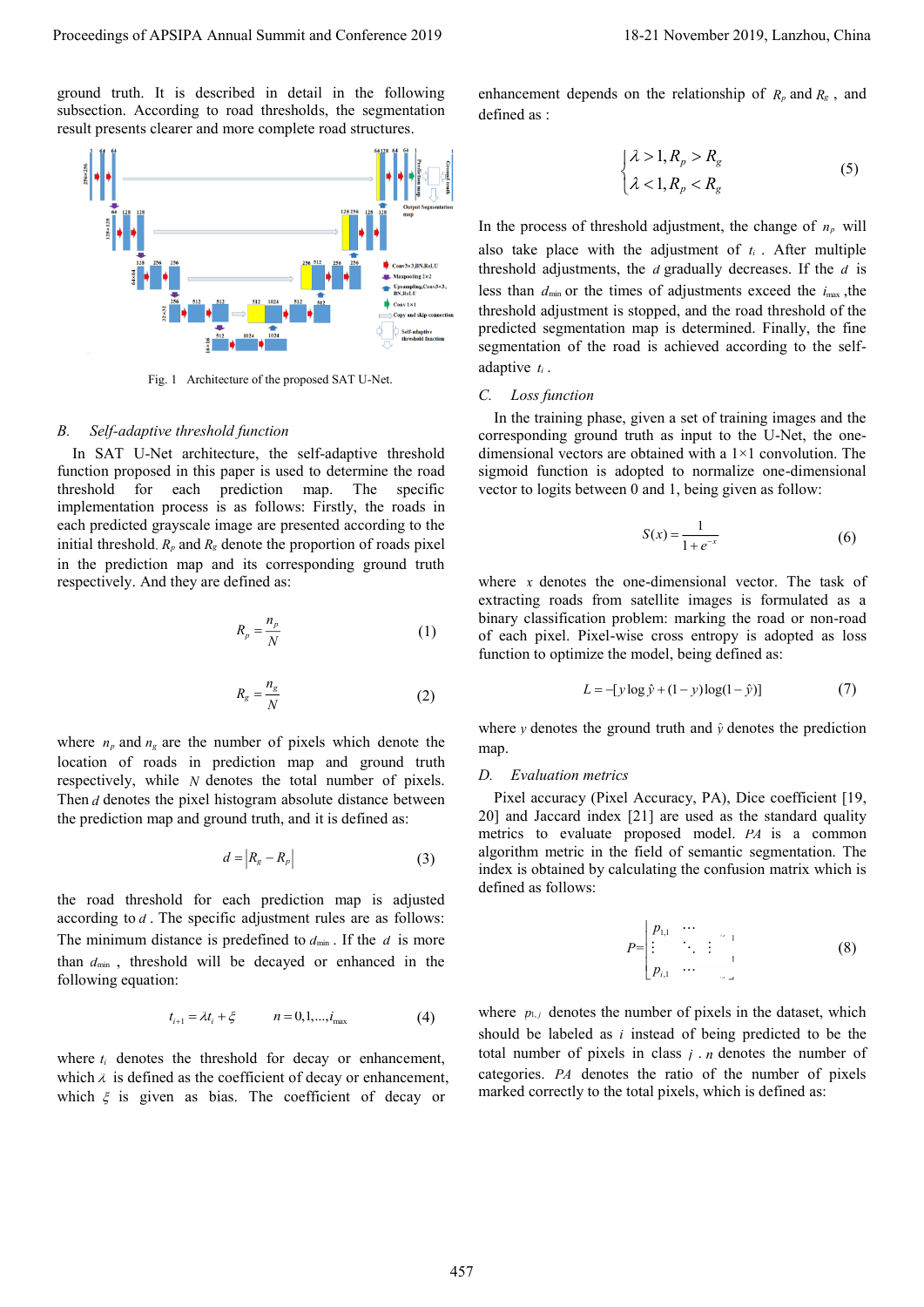ground truth. It is described in detail in the following subsection. According to road thresholds, the segmentation result presents clearer and more complete road structures.



Fig. 1 Architecture of the proposed SAT U-Net.

## *B. Self-adaptive threshold function*

In SAT U-Net architecture, the self-adaptive threshold function proposed in this paper is used to determine the road threshold for each prediction map. The specific implementation process is as follows: Firstly, the roads in each predicted grayscale image are presented according to the initial threshold.  $R_p$  and  $R_g$  denote the proportion of roads pixel in the prediction map and its corresponding ground truth respectively. And they are defined as:

$$
R_p = \frac{n_p}{N} \tag{1}
$$

$$
R_g = \frac{n_g}{N} \tag{2}
$$

where  $n_p$  and  $n_g$  are the number of pixels which denote the location of roads in prediction map and ground truth respectively, while *N* denotes the total number of pixels. Then *d* denotes the pixel histogram absolute distance between the prediction map and ground truth, and it is defined as:

$$
d = |R_g - R_p| \tag{3}
$$

the road threshold for each prediction map is adjusted according to *<sup>d</sup>* . The specific adjustment rules are as follows: The minimum distance is predefined to  $d_{\text{min}}$ . If the  $d$  is more than *d*min , threshold will be decayed or enhanced in the following equation:

$$
t_{i+1} = \lambda t_i + \xi \qquad n = 0, 1, \dots, i_{\max} \qquad (4)
$$

where  $t_i$  denotes the threshold for decay or enhancement, which  $\lambda$  is defined as the coefficient of decay or enhancement, which  $\xi$  is given as bias. The coefficient of decay or

enhancement depends on the relationship of  $R_p$  and  $R_g$ , and defined as :

$$
\begin{cases} \lambda > 1, R_p > R_g \\ \lambda < 1, R_p < R_g \end{cases} \tag{5}
$$

In the process of threshold adjustment, the change of  $n_p$  will also take place with the adjustment of  $t_i$ . After multiple threshold adjustments, the *d* gradually decreases. If the *d* is less than  $d_{\min}$  or the times of adjustments exceed the  $i_{\max}$ , the threshold adjustment is stopped, and the road threshold of the predicted segmentation map is determined. Finally, the fine segmentation of the road is achieved according to the selfadaptive *ti* .

#### *C. Loss function*

In the training phase, given a set of training images and the corresponding ground truth as input to the U-Net, the onedimensional vectors are obtained with a 1×1 convolution. The sigmoid function is adopted to normalize one-dimensional vector to logits between 0 and 1, being given as follow:

$$
S(x) = \frac{1}{1 + e^{-x}}
$$
 (6)

where  $x$  denotes the one-dimensional vector. The task of extracting roads from satellite images is formulated as a binary classification problem: marking the road or non-road of each pixel. Pixel-wise cross entropy is adopted as loss function to optimize the model, being defined as:

$$
L = -[y \log \hat{y} + (1 - y) \log(1 - \hat{y})]
$$
 (7)

where  $y$  denotes the ground truth and  $\hat{y}$  denotes the prediction map.

#### *D. Evaluation metrics*

Pixel accuracy (Pixel Accuracy, PA), Dice coefficient [19, 20] and Jaccard index [21] are used as the standard quality metrics to evaluate proposed model. *PA* is a common algorithm metric in the field of semantic segmentation. The index is obtained by calculating the confusion matrix which is defined as follows:

1,1 1, ,1 , = *i i j p p P p p* (8)

where  $p_{1,j}$  denotes the number of pixels in the dataset, which should be labeled as *i* instead of being predicted to be the total number of pixels in class *j* . *<sup>n</sup>* denotes the number of categories. *PA* denotes the ratio of the number of pixels marked correctly to the total pixels, which is defined as: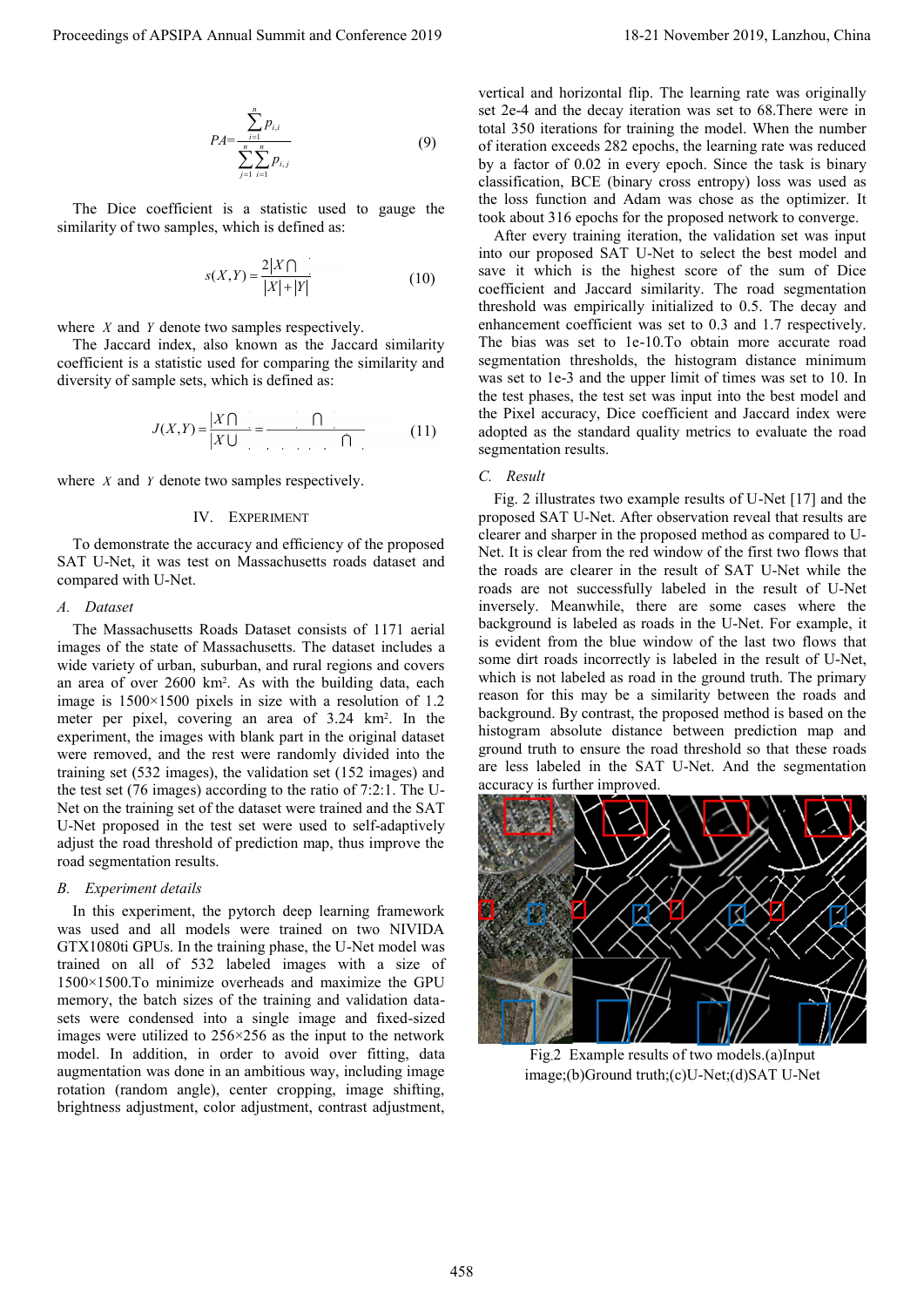$$
PA = \frac{\sum_{i=1}^{n} p_{i,i}}{\sum_{j=1}^{n} \sum_{i=1}^{n} p_{i,j}}
$$
(9)

The Dice coefficient is a statistic used to gauge the similarity of two samples, which is defined as:

$$
s(X,Y) = \frac{2|X \cap}{|X| + |Y|}
$$
 (10)

where  $X$  and  $Y$  denote two samples respectively.

The Jaccard index, also known as the Jaccard similarity coefficient is a statistic used for comparing the similarity and diversity of sample sets, which is defined as:

$$
J(X,Y) = \frac{|X \cap \{X \} \cap \{X \cap \{X\} \cap \{X\} \cap \{X\} \cap \{X\} \cap \{X\} | X \cap \{X\} \cap \{X\} | X \cap \{X\} | X \cap \{X\} | X \cap \{X\} | X \cap \{X\} | X \cap \{X\} | X \cap \{X\} | X \cap \{X\} | X \cap \{X\} | X \cap \{X\} | X \cap \{X\} | X \cap \{X\} | X \cap \{X\} | X \cap \{X\} | X \cap \{X\} | X \cap \{X\} | X \cap \{X\} | X \cap \{X\} | X \cap \{X\} | X \cap \{X\} | X \cap \{X\} | X \cap \{X\} | X \cap \{X\} | X \cap \{X\} | X \cap \{X\} | X \cap \{X\} | X \cap \{X\} | X \cap \{X\} | X \cap \{X\} | X \cap \{X\} | X \cap \{X\} | X \cap \{X\} | X \cap \{X\} | X \cap \{X\} | X \cap \{X\} | X \cap \{X\} | X \cap \{X\} | X \cap \{X\} | X \cap \{X\} | X \cap \{X\} | X \cap \{X\} | X \cap \{X\} | X \cap \{X\} | X \cap \{X\} | X \cap \{X\} | X \cap \{X\} | X \cap \{X\} | X \cap \{X\} | X \cap \{X\} | X \cap \{X\} | X \cap \{X\} | X \cap \{X\} | X \cap \{X\} | X \cap \{X\} | X \cap \{X\} | X \cap \{X\} | X \cap \{X\} | X \cap \{X\} | X \cap \{X\} | X \cap \{X\} | X \cap \{X\} | X \cap \{X\} | X \cap \{X\} | X \cap \{X\} | X \cap \{X\} | X \cap \{X\} | X \cap \{X\} | X \cap \{X\} | X \cap \{X\} | X \cap \{X\} | X \cap \{X\} | X \cap \{X\} | X \cap \{X\} | X \cap \{X\} | X \cap \{X\} | X \cap \{X\} | X \cap \{X\} | X \
$$

where  $X$  and  $Y$  denote two samples respectively.

# IV. EXPERIMENT

To demonstrate the accuracy and efficiency of the proposed SAT U-Net, it was test on Massachusetts roads dataset and compared with U-Net.

# *A. Dataset*

The Massachusetts Roads Dataset consists of 1171 aerial images of the state of Massachusetts. The dataset includes a wide variety of urban, suburban, and rural regions and covers an area of over 2600 km<sup>2</sup> . As with the building data, each image is 1500×1500 pixels in size with a resolution of 1.2 meter per pixel, covering an area of 3.24 km<sup>2</sup>. In the experiment, the images with blank part in the original dataset were removed, and the rest were randomly divided into the training set (532 images), the validation set (152 images) and the test set (76 images) according to the ratio of 7:2:1. The U-Net on the training set of the dataset were trained and the SAT U-Net proposed in the test set were used to self-adaptively adjust the road threshold of prediction map, thus improve the road segmentation results.

#### *B. Experiment details*

In this experiment, the pytorch deep learning framework was used and all models were trained on two NIVIDA GTX1080ti GPUs. In the training phase, the U-Net model was trained on all of 532 labeled images with a size of 1500×1500.To minimize overheads and maximize the GPU memory, the batch sizes of the training and validation datasets were condensed into a single image and fixed-sized images were utilized to 256×256 as the input to the network model. In addition, in order to avoid over fitting, data augmentation was done in an ambitious way, including image rotation (random angle), center cropping, image shifting, brightness adjustment, color adjustment, contrast adjustment,

vertical and horizontal flip. The learning rate was originally set 2e-4 and the decay iteration was set to 68.There were in total 350 iterations for training the model. When the number of iteration exceeds 282 epochs, the learning rate was reduced by a factor of 0.02 in every epoch. Since the task is binary classification, BCE (binary cross entropy) loss was used as the loss function and Adam was chose as the optimizer. It took about 316 epochs for the proposed network to converge.

After every training iteration, the validation set was input into our proposed SAT U-Net to select the best model and save it which is the highest score of the sum of Dice coefficient and Jaccard similarity. The road segmentation threshold was empirically initialized to 0.5. The decay and enhancement coefficient was set to 0.3 and 1.7 respectively. The bias was set to 1e-10.To obtain more accurate road segmentation thresholds, the histogram distance minimum was set to 1e-3 and the upper limit of times was set to 10. In the test phases, the test set was input into the best model and the Pixel accuracy, Dice coefficient and Jaccard index were adopted as the standard quality metrics to evaluate the road segmentation results.

#### *C. Result*

Fig. 2 illustrates two example results of U-Net [17] and the proposed SAT U-Net. After observation reveal that results are clearer and sharper in the proposed method as compared to U-Net. It is clear from the red window of the first two flows that the roads are clearer in the result of SAT U-Net while the roads are not successfully labeled in the result of U-Net inversely. Meanwhile, there are some cases where the background is labeled as roads in the U-Net. For example, it is evident from the blue window of the last two flows that some dirt roads incorrectly is labeled in the result of U-Net, which is not labeled as road in the ground truth. The primary reason for this may be a similarity between the roads and background. By contrast, the proposed method is based on the histogram absolute distance between prediction map and ground truth to ensure the road threshold so that these roads are less labeled in the SAT U-Net. And the segmentation accuracy is further improved. Proceedings of APSIPA Annual Summit at China  $\frac{1}{2}$ . The Real and Alexander Summit and Equation (2) and Equation (2) and Equation (2) and Equation (2) and Equation (2) and Equation (2) and Equation (2) and Equation (2)



Fig.2 Example results of two models.(a)Input image;(b)Ground truth;(c)U-Net;(d)SAT U-Net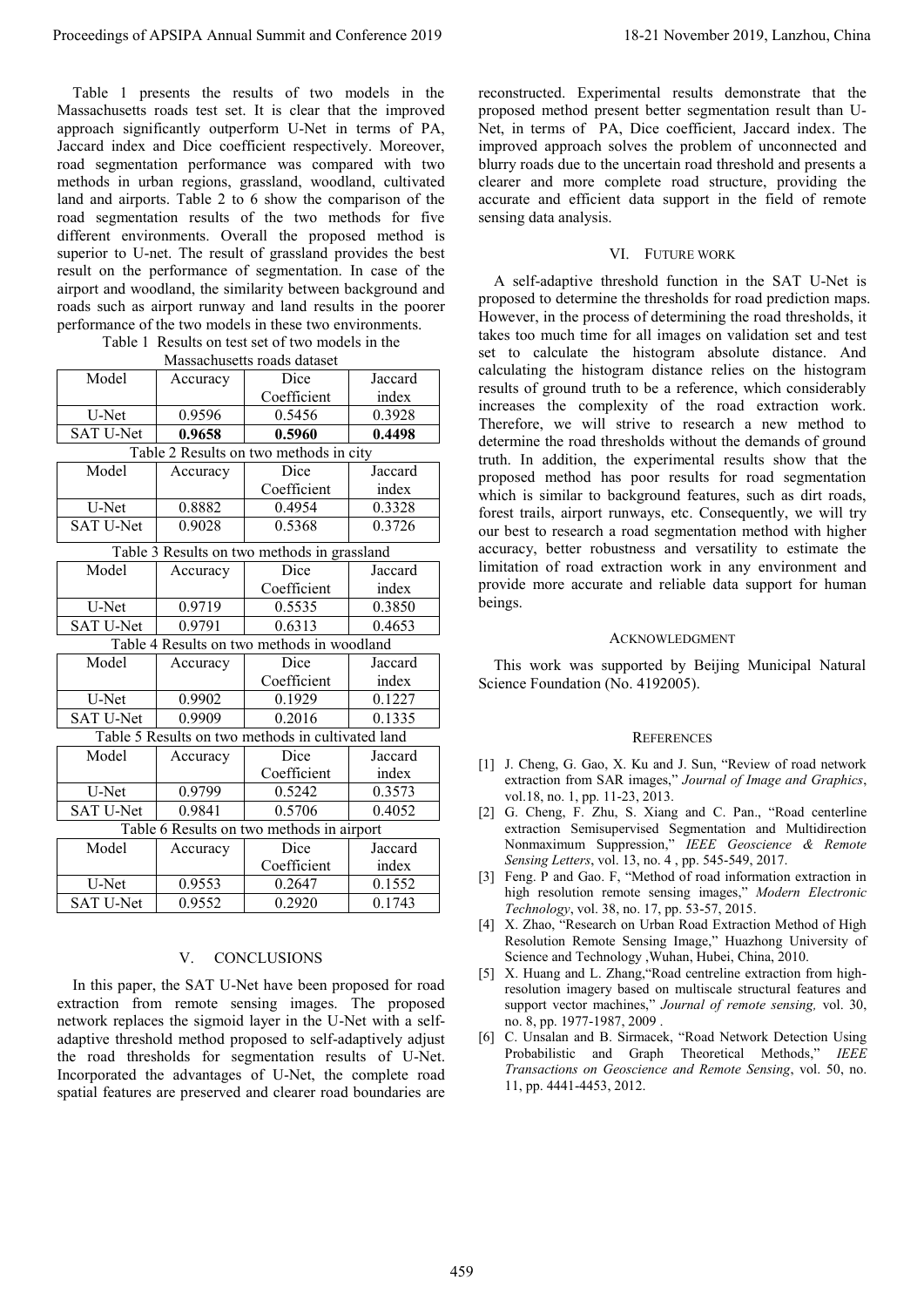| Proceedings of APSIPA Annual Summit and Conference 2019                                                                                                                                                                                                                                                                                                                                                                                                                                                                                                                                                        |                  |                                             |                  | 18-21 November 2019, Lanzhou, China                                                                                                                                                                                                                                                                                                                                                                                                                                                     |
|----------------------------------------------------------------------------------------------------------------------------------------------------------------------------------------------------------------------------------------------------------------------------------------------------------------------------------------------------------------------------------------------------------------------------------------------------------------------------------------------------------------------------------------------------------------------------------------------------------------|------------------|---------------------------------------------|------------------|-----------------------------------------------------------------------------------------------------------------------------------------------------------------------------------------------------------------------------------------------------------------------------------------------------------------------------------------------------------------------------------------------------------------------------------------------------------------------------------------|
| Table 1 presents the results of two models in the<br>Massachusetts roads test set. It is clear that the improved<br>approach significantly outperform U-Net in terms of PA,<br>Jaccard index and Dice coefficient respectively. Moreover,<br>road segmentation performance was compared with two<br>methods in urban regions, grassland, woodland, cultivated<br>land and airports. Table 2 to 6 show the comparison of the<br>road segmentation results of the two methods for five<br>different environments. Overall the proposed method is<br>superior to U-net. The result of grassland provides the best |                  |                                             |                  | reconstructed. Experimental results demonstrate that the<br>proposed method present better segmentation result than U-<br>Net, in terms of PA, Dice coefficient, Jaccard index. The<br>improved approach solves the problem of unconnected and<br>blurry roads due to the uncertain road threshold and presents a<br>clearer and more complete road structure, providing the<br>accurate and efficient data support in the field of remote<br>sensing data analysis.<br>VI. FUTURE WORK |
| result on the performance of segmentation. In case of the<br>airport and woodland, the similarity between background and                                                                                                                                                                                                                                                                                                                                                                                                                                                                                       |                  |                                             |                  | A self-adaptive threshold function in the SAT U-Net is                                                                                                                                                                                                                                                                                                                                                                                                                                  |
| roads such as airport runway and land results in the poorer                                                                                                                                                                                                                                                                                                                                                                                                                                                                                                                                                    |                  |                                             |                  | proposed to determine the thresholds for road prediction maps.                                                                                                                                                                                                                                                                                                                                                                                                                          |
| performance of the two models in these two environments.                                                                                                                                                                                                                                                                                                                                                                                                                                                                                                                                                       |                  |                                             |                  | However, in the process of determining the road thresholds, it                                                                                                                                                                                                                                                                                                                                                                                                                          |
| Table 1 Results on test set of two models in the                                                                                                                                                                                                                                                                                                                                                                                                                                                                                                                                                               |                  |                                             |                  | takes too much time for all images on validation set and test                                                                                                                                                                                                                                                                                                                                                                                                                           |
|                                                                                                                                                                                                                                                                                                                                                                                                                                                                                                                                                                                                                |                  | Massachusetts roads dataset                 |                  | set to calculate the histogram absolute distance. And<br>calculating the histogram distance relies on the histogram                                                                                                                                                                                                                                                                                                                                                                     |
| Model                                                                                                                                                                                                                                                                                                                                                                                                                                                                                                                                                                                                          | Accuracy         | Dice                                        | Jaccard          | results of ground truth to be a reference, which considerably                                                                                                                                                                                                                                                                                                                                                                                                                           |
| U-Net                                                                                                                                                                                                                                                                                                                                                                                                                                                                                                                                                                                                          | 0.9596           | Coefficient<br>0.5456                       | index<br>0.3928  | increases the complexity of the road extraction work.                                                                                                                                                                                                                                                                                                                                                                                                                                   |
| <b>SAT U-Net</b>                                                                                                                                                                                                                                                                                                                                                                                                                                                                                                                                                                                               | 0.9658           | 0.5960                                      | 0.4498           | Therefore, we will strive to research a new method to                                                                                                                                                                                                                                                                                                                                                                                                                                   |
|                                                                                                                                                                                                                                                                                                                                                                                                                                                                                                                                                                                                                |                  | Table 2 Results on two methods in city      |                  | determine the road thresholds without the demands of ground                                                                                                                                                                                                                                                                                                                                                                                                                             |
| Model                                                                                                                                                                                                                                                                                                                                                                                                                                                                                                                                                                                                          | Accuracy         | Dice                                        | Jaccard          | truth. In addition, the experimental results show that the<br>proposed method has poor results for road segmentation                                                                                                                                                                                                                                                                                                                                                                    |
|                                                                                                                                                                                                                                                                                                                                                                                                                                                                                                                                                                                                                |                  | Coefficient                                 | index            | which is similar to background features, such as dirt roads,                                                                                                                                                                                                                                                                                                                                                                                                                            |
| U-Net                                                                                                                                                                                                                                                                                                                                                                                                                                                                                                                                                                                                          | 0.8882           | 0.4954                                      | 0.3328           | forest trails, airport runways, etc. Consequently, we will try                                                                                                                                                                                                                                                                                                                                                                                                                          |
| <b>SAT U-Net</b>                                                                                                                                                                                                                                                                                                                                                                                                                                                                                                                                                                                               | 0.9028           | 0.5368                                      | 0.3726           | our best to research a road segmentation method with higher                                                                                                                                                                                                                                                                                                                                                                                                                             |
|                                                                                                                                                                                                                                                                                                                                                                                                                                                                                                                                                                                                                |                  | Table 3 Results on two methods in grassland |                  | accuracy, better robustness and versatility to estimate the                                                                                                                                                                                                                                                                                                                                                                                                                             |
| Model                                                                                                                                                                                                                                                                                                                                                                                                                                                                                                                                                                                                          | Accuracy         | Dice                                        | Jaccard          | limitation of road extraction work in any environment and<br>provide more accurate and reliable data support for human                                                                                                                                                                                                                                                                                                                                                                  |
|                                                                                                                                                                                                                                                                                                                                                                                                                                                                                                                                                                                                                |                  | Coefficient                                 | index            | beings.                                                                                                                                                                                                                                                                                                                                                                                                                                                                                 |
| U-Net<br>SAT U-Net                                                                                                                                                                                                                                                                                                                                                                                                                                                                                                                                                                                             | 0.9719<br>0.9791 | 0.5535<br>0.6313                            | 0.3850<br>0.4653 |                                                                                                                                                                                                                                                                                                                                                                                                                                                                                         |
| Table 4 Results on two methods in woodland                                                                                                                                                                                                                                                                                                                                                                                                                                                                                                                                                                     |                  |                                             |                  | <b>ACKNOWLEDGMENT</b>                                                                                                                                                                                                                                                                                                                                                                                                                                                                   |
| Model                                                                                                                                                                                                                                                                                                                                                                                                                                                                                                                                                                                                          | Accuracy         | Dice                                        | Jaccard          | This work was supported by Beijing Municipal Natural                                                                                                                                                                                                                                                                                                                                                                                                                                    |
|                                                                                                                                                                                                                                                                                                                                                                                                                                                                                                                                                                                                                |                  | Coefficient                                 | index            | Science Foundation (No. 4192005).                                                                                                                                                                                                                                                                                                                                                                                                                                                       |
| U-Net                                                                                                                                                                                                                                                                                                                                                                                                                                                                                                                                                                                                          | 0.9902           | 0.1929                                      | 0.1227           |                                                                                                                                                                                                                                                                                                                                                                                                                                                                                         |
| <b>SAT U-Net</b>                                                                                                                                                                                                                                                                                                                                                                                                                                                                                                                                                                                               | 0.9909           | 0.2016                                      | 0.1335           |                                                                                                                                                                                                                                                                                                                                                                                                                                                                                         |
| Table 5 Results on two methods in cultivated land<br>Dice<br>Model                                                                                                                                                                                                                                                                                                                                                                                                                                                                                                                                             |                  |                                             |                  | <b>REFERENCES</b>                                                                                                                                                                                                                                                                                                                                                                                                                                                                       |
|                                                                                                                                                                                                                                                                                                                                                                                                                                                                                                                                                                                                                | Accuracy         | Coefficient                                 | Jaccard<br>index | [1] J. Cheng, G. Gao, X. Ku and J. Sun, "Review of road network                                                                                                                                                                                                                                                                                                                                                                                                                         |
| U-Net                                                                                                                                                                                                                                                                                                                                                                                                                                                                                                                                                                                                          | 0.9799           | 0.5242                                      | 0.3573           | extraction from SAR images," Journal of Image and Graphics,<br>vol.18, no. 1, pp. 11-23, 2013.                                                                                                                                                                                                                                                                                                                                                                                          |
| SAT U-Net                                                                                                                                                                                                                                                                                                                                                                                                                                                                                                                                                                                                      | 0.9841           | 0.5706                                      | 0.4052           | [2] G. Cheng, F. Zhu, S. Xiang and C. Pan., "Road centerline                                                                                                                                                                                                                                                                                                                                                                                                                            |
| Table 6 Results on two methods in airport                                                                                                                                                                                                                                                                                                                                                                                                                                                                                                                                                                      |                  |                                             |                  | extraction Semisupervised Segmentation and Multidirection                                                                                                                                                                                                                                                                                                                                                                                                                               |
| Model                                                                                                                                                                                                                                                                                                                                                                                                                                                                                                                                                                                                          | Accuracy         | Dice                                        | Jaccard          | Nonmaximum Suppression," IEEE Geoscience & Remote<br>Sensing Letters, vol. 13, no. 4, pp. 545-549, 2017.                                                                                                                                                                                                                                                                                                                                                                                |
| U-Net                                                                                                                                                                                                                                                                                                                                                                                                                                                                                                                                                                                                          | 0.9553           | Coefficient<br>0.2647                       | index<br>0.1552  | [3] Feng. P and Gao. F, "Method of road information extraction in                                                                                                                                                                                                                                                                                                                                                                                                                       |
| <b>SAT U-Net</b>                                                                                                                                                                                                                                                                                                                                                                                                                                                                                                                                                                                               | 0.9552           | 0.2920                                      | 0.1743           | high resolution remote sensing images," Modern Electronic                                                                                                                                                                                                                                                                                                                                                                                                                               |
|                                                                                                                                                                                                                                                                                                                                                                                                                                                                                                                                                                                                                |                  |                                             |                  | Technology, vol. 38, no. 17, pp. 53-57, 2015.<br>[4] X. Zhao, "Research on Urban Road Extraction Method of High                                                                                                                                                                                                                                                                                                                                                                         |
| <b>CONCLUSIONS</b><br>V.<br>In this paper, the SAT U-Net have been proposed for road                                                                                                                                                                                                                                                                                                                                                                                                                                                                                                                           |                  |                                             |                  | Resolution Remote Sensing Image," Huazhong University of<br>Science and Technology , Wuhan, Hubei, China, 2010.<br>[5] X. Huang and L. Zhang, "Road centreline extraction from high-                                                                                                                                                                                                                                                                                                    |
| extraction from remote sensing images. The proposed<br>network replaces the sigmoid layer in the U-Net with a self-                                                                                                                                                                                                                                                                                                                                                                                                                                                                                            |                  |                                             |                  | resolution imagery based on multiscale structural features and<br>support vector machines," Journal of remote sensing, vol. 30,<br>no. 8, pp. 1977-1987, 2009.<br>[6] C. Unsalan and B. Sirmacek, "Road Network Detection Using                                                                                                                                                                                                                                                         |
| adaptive threshold method proposed to self-adaptively adjust<br>the road thresholds for segmentation results of U-Net.                                                                                                                                                                                                                                                                                                                                                                                                                                                                                         |                  |                                             |                  | Probabilistic and Graph Theoretical Methods," IEEE                                                                                                                                                                                                                                                                                                                                                                                                                                      |
| Incorporated the advantages of U-Net, the complete road                                                                                                                                                                                                                                                                                                                                                                                                                                                                                                                                                        |                  |                                             |                  | Transactions on Geoscience and Remote Sensing, vol. 50, no.                                                                                                                                                                                                                                                                                                                                                                                                                             |
| spatial features are preserved and clearer road boundaries are                                                                                                                                                                                                                                                                                                                                                                                                                                                                                                                                                 |                  |                                             |                  | 11, pp. 4441-4453, 2012.                                                                                                                                                                                                                                                                                                                                                                                                                                                                |
|                                                                                                                                                                                                                                                                                                                                                                                                                                                                                                                                                                                                                |                  |                                             |                  |                                                                                                                                                                                                                                                                                                                                                                                                                                                                                         |
|                                                                                                                                                                                                                                                                                                                                                                                                                                                                                                                                                                                                                |                  |                                             |                  |                                                                                                                                                                                                                                                                                                                                                                                                                                                                                         |
|                                                                                                                                                                                                                                                                                                                                                                                                                                                                                                                                                                                                                |                  |                                             |                  |                                                                                                                                                                                                                                                                                                                                                                                                                                                                                         |
|                                                                                                                                                                                                                                                                                                                                                                                                                                                                                                                                                                                                                |                  |                                             |                  |                                                                                                                                                                                                                                                                                                                                                                                                                                                                                         |
|                                                                                                                                                                                                                                                                                                                                                                                                                                                                                                                                                                                                                |                  |                                             |                  |                                                                                                                                                                                                                                                                                                                                                                                                                                                                                         |
|                                                                                                                                                                                                                                                                                                                                                                                                                                                                                                                                                                                                                |                  |                                             |                  |                                                                                                                                                                                                                                                                                                                                                                                                                                                                                         |
|                                                                                                                                                                                                                                                                                                                                                                                                                                                                                                                                                                                                                |                  |                                             |                  |                                                                                                                                                                                                                                                                                                                                                                                                                                                                                         |
| 459                                                                                                                                                                                                                                                                                                                                                                                                                                                                                                                                                                                                            |                  |                                             |                  |                                                                                                                                                                                                                                                                                                                                                                                                                                                                                         |

# V. CONCLUSIONS

# VI. FUTURE WORK

#### ACKNOWLEDGMENT

#### **REFERENCES**

- [1] J. Cheng, G. Gao, X. Ku and J. Sun, "Review of road network extraction from SAR images," *Journal of Image and Graphics*, vol.18, no. 1, pp. 11-23, 2013.
- [2] G. Cheng, F. Zhu, S. Xiang and C. Pan., "Road centerline extraction Semisupervised Segmentation and Multidirection Nonmaximum Suppression," *IEEE Geoscience & Remote Sensing Letters*, vol. 13, no. 4 , pp. 545-549, 2017.
- [3] Feng. P and Gao. F, "Method of road information extraction in high resolution remote sensing images," *Modern Electronic Technology*, vol. 38, no. 17, pp. 53-57, 2015.
- [4] X. Zhao, "Research on Urban Road Extraction Method of High Resolution Remote Sensing Image," Huazhong University of Science and Technology ,Wuhan, Hubei, China, 2010.
- [5] X. Huang and L. Zhang, "Road centreline extraction from highresolution imagery based on multiscale structural features and support vector machines," *Journal of remote sensing,* vol. 30, no. 8, pp. 1977-1987, 2009 .
- [6] C. Unsalan and B. Sirmacek, "Road Network Detection Using Probabilistic and Graph Theoretical Methods," *IEEE Transactions on Geoscience and Remote Sensing*, vol. 50, no. 11, pp. 4441-4453, 2012.